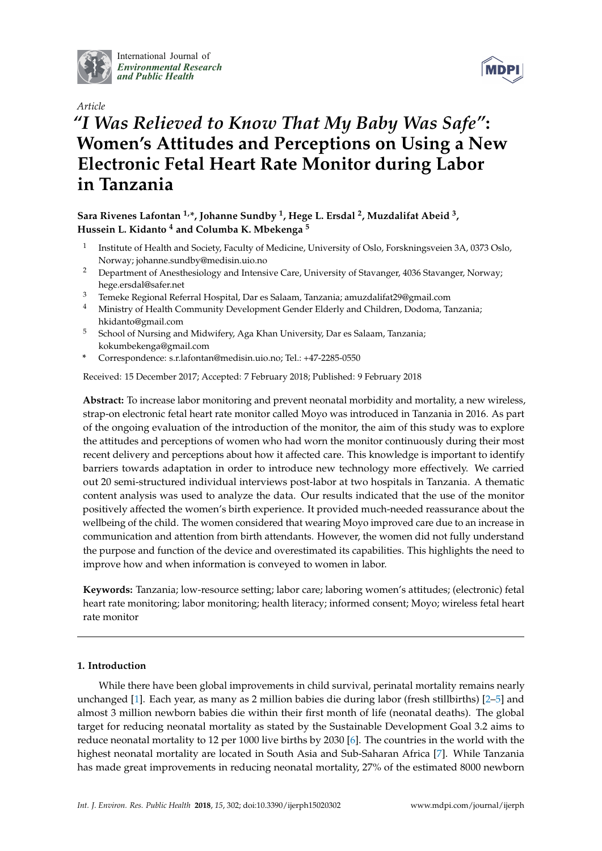

International Journal of *[Environmental Research](http://www.mdpi.com/journal/ijerph) and Public Health*



# *Article "I Was Relieved to Know That My Baby Was Safe"***: Women's Attitudes and Perceptions on Using a New Electronic Fetal Heart Rate Monitor during Labor in Tanzania**

# **Sara Rivenes Lafontan 1,\*, Johanne Sundby <sup>1</sup> , Hege L. Ersdal <sup>2</sup> , Muzdalifat Abeid <sup>3</sup> , Hussein L. Kidanto <sup>4</sup> and Columba K. Mbekenga <sup>5</sup>**

- 1 Institute of Health and Society, Faculty of Medicine, University of Oslo, Forskningsveien 3A, 0373 Oslo, Norway; johanne.sundby@medisin.uio.no
- <sup>2</sup> Department of Anesthesiology and Intensive Care, University of Stavanger, 4036 Stavanger, Norway; hege.ersdal@safer.net
- <sup>3</sup> Temeke Regional Referral Hospital, Dar es Salaam, Tanzania; amuzdalifat29@gmail.com
- <sup>4</sup> Ministry of Health Community Development Gender Elderly and Children, Dodoma, Tanzania; hkidanto@gmail.com
- <sup>5</sup> School of Nursing and Midwifery, Aga Khan University, Dar es Salaam, Tanzania; kokumbekenga@gmail.com
- **\*** Correspondence: s.r.lafontan@medisin.uio.no; Tel.: +47-2285-0550

Received: 15 December 2017; Accepted: 7 February 2018; Published: 9 February 2018

**Abstract:** To increase labor monitoring and prevent neonatal morbidity and mortality, a new wireless, strap-on electronic fetal heart rate monitor called Moyo was introduced in Tanzania in 2016. As part of the ongoing evaluation of the introduction of the monitor, the aim of this study was to explore the attitudes and perceptions of women who had worn the monitor continuously during their most recent delivery and perceptions about how it affected care. This knowledge is important to identify barriers towards adaptation in order to introduce new technology more effectively. We carried out 20 semi-structured individual interviews post-labor at two hospitals in Tanzania. A thematic content analysis was used to analyze the data. Our results indicated that the use of the monitor positively affected the women's birth experience. It provided much-needed reassurance about the wellbeing of the child. The women considered that wearing Moyo improved care due to an increase in communication and attention from birth attendants. However, the women did not fully understand the purpose and function of the device and overestimated its capabilities. This highlights the need to improve how and when information is conveyed to women in labor.

**Keywords:** Tanzania; low-resource setting; labor care; laboring women's attitudes; (electronic) fetal heart rate monitoring; labor monitoring; health literacy; informed consent; Moyo; wireless fetal heart rate monitor

# **1. Introduction**

While there have been global improvements in child survival, perinatal mortality remains nearly unchanged [\[1\]](#page-9-0). Each year, as many as 2 million babies die during labor (fresh stillbirths) [\[2](#page-9-1)[–5\]](#page-10-0) and almost 3 million newborn babies die within their first month of life (neonatal deaths). The global target for reducing neonatal mortality as stated by the Sustainable Development Goal 3.2 aims to reduce neonatal mortality to 12 per 1000 live births by 2030 [\[6\]](#page-10-1). The countries in the world with the highest neonatal mortality are located in South Asia and Sub-Saharan Africa [\[7\]](#page-10-2). While Tanzania has made great improvements in reducing neonatal mortality, 27% of the estimated 8000 newborn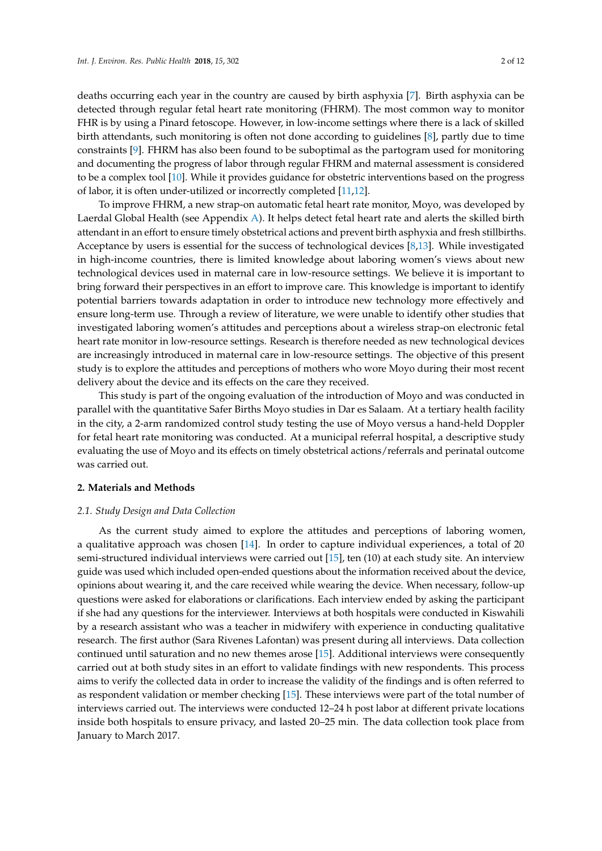deaths occurring each year in the country are caused by birth asphyxia [\[7\]](#page-10-2). Birth asphyxia can be detected through regular fetal heart rate monitoring (FHRM). The most common way to monitor FHR is by using a Pinard fetoscope. However, in low-income settings where there is a lack of skilled birth attendants, such monitoring is often not done according to guidelines [\[8\]](#page-10-3), partly due to time constraints [\[9\]](#page-10-4). FHRM has also been found to be suboptimal as the partogram used for monitoring and documenting the progress of labor through regular FHRM and maternal assessment is considered to be a complex tool [\[10\]](#page-10-5). While it provides guidance for obstetric interventions based on the progress of labor, it is often under-utilized or incorrectly completed [\[11](#page-10-6)[,12\]](#page-10-7).

To improve FHRM, a new strap-on automatic fetal heart rate monitor, Moyo, was developed by Laerdal Global Health (see Appendix [A\)](#page-9-2). It helps detect fetal heart rate and alerts the skilled birth attendant in an effort to ensure timely obstetrical actions and prevent birth asphyxia and fresh stillbirths. Acceptance by users is essential for the success of technological devices [\[8,](#page-10-3)[13\]](#page-10-8). While investigated in high-income countries, there is limited knowledge about laboring women's views about new technological devices used in maternal care in low-resource settings. We believe it is important to bring forward their perspectives in an effort to improve care. This knowledge is important to identify potential barriers towards adaptation in order to introduce new technology more effectively and ensure long-term use. Through a review of literature, we were unable to identify other studies that investigated laboring women's attitudes and perceptions about a wireless strap-on electronic fetal heart rate monitor in low-resource settings. Research is therefore needed as new technological devices are increasingly introduced in maternal care in low-resource settings. The objective of this present study is to explore the attitudes and perceptions of mothers who wore Moyo during their most recent delivery about the device and its effects on the care they received.

This study is part of the ongoing evaluation of the introduction of Moyo and was conducted in parallel with the quantitative Safer Births Moyo studies in Dar es Salaam. At a tertiary health facility in the city, a 2-arm randomized control study testing the use of Moyo versus a hand-held Doppler for fetal heart rate monitoring was conducted. At a municipal referral hospital, a descriptive study evaluating the use of Moyo and its effects on timely obstetrical actions/referrals and perinatal outcome was carried out.

# **2. Materials and Methods**

# *2.1. Study Design and Data Collection*

As the current study aimed to explore the attitudes and perceptions of laboring women, a qualitative approach was chosen [\[14\]](#page-10-9). In order to capture individual experiences, a total of 20 semi-structured individual interviews were carried out [\[15\]](#page-10-10), ten (10) at each study site. An interview guide was used which included open-ended questions about the information received about the device, opinions about wearing it, and the care received while wearing the device. When necessary, follow-up questions were asked for elaborations or clarifications. Each interview ended by asking the participant if she had any questions for the interviewer. Interviews at both hospitals were conducted in Kiswahili by a research assistant who was a teacher in midwifery with experience in conducting qualitative research. The first author (Sara Rivenes Lafontan) was present during all interviews. Data collection continued until saturation and no new themes arose [\[15\]](#page-10-10). Additional interviews were consequently carried out at both study sites in an effort to validate findings with new respondents. This process aims to verify the collected data in order to increase the validity of the findings and is often referred to as respondent validation or member checking [\[15\]](#page-10-10). These interviews were part of the total number of interviews carried out. The interviews were conducted 12–24 h post labor at different private locations inside both hospitals to ensure privacy, and lasted 20–25 min. The data collection took place from January to March 2017.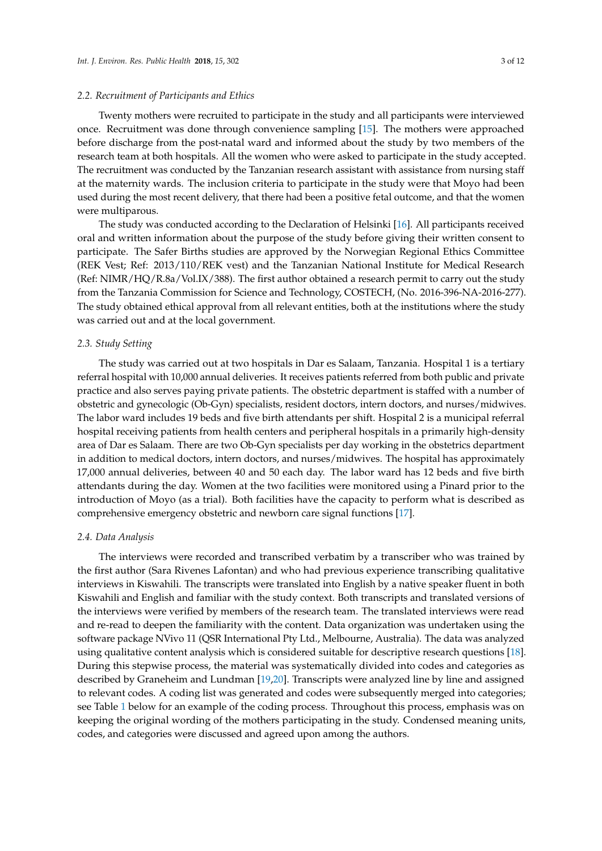# *2.2. Recruitment of Participants and Ethics*

Twenty mothers were recruited to participate in the study and all participants were interviewed once. Recruitment was done through convenience sampling [\[15\]](#page-10-10). The mothers were approached before discharge from the post-natal ward and informed about the study by two members of the research team at both hospitals. All the women who were asked to participate in the study accepted. The recruitment was conducted by the Tanzanian research assistant with assistance from nursing staff at the maternity wards. The inclusion criteria to participate in the study were that Moyo had been used during the most recent delivery, that there had been a positive fetal outcome, and that the women were multiparous.

The study was conducted according to the Declaration of Helsinki [\[16\]](#page-10-11). All participants received oral and written information about the purpose of the study before giving their written consent to participate. The Safer Births studies are approved by the Norwegian Regional Ethics Committee (REK Vest; Ref: 2013/110/REK vest) and the Tanzanian National Institute for Medical Research (Ref: NIMR/HQ/R.8a/Vol.IX/388). The first author obtained a research permit to carry out the study from the Tanzania Commission for Science and Technology, COSTECH, (No. 2016-396-NA-2016-277). The study obtained ethical approval from all relevant entities, both at the institutions where the study was carried out and at the local government.

# *2.3. Study Setting*

The study was carried out at two hospitals in Dar es Salaam, Tanzania. Hospital 1 is a tertiary referral hospital with 10,000 annual deliveries. It receives patients referred from both public and private practice and also serves paying private patients. The obstetric department is staffed with a number of obstetric and gynecologic (Ob-Gyn) specialists, resident doctors, intern doctors, and nurses/midwives. The labor ward includes 19 beds and five birth attendants per shift. Hospital 2 is a municipal referral hospital receiving patients from health centers and peripheral hospitals in a primarily high-density area of Dar es Salaam. There are two Ob-Gyn specialists per day working in the obstetrics department in addition to medical doctors, intern doctors, and nurses/midwives. The hospital has approximately 17,000 annual deliveries, between 40 and 50 each day. The labor ward has 12 beds and five birth attendants during the day. Women at the two facilities were monitored using a Pinard prior to the introduction of Moyo (as a trial). Both facilities have the capacity to perform what is described as comprehensive emergency obstetric and newborn care signal functions [\[17\]](#page-10-12).

## *2.4. Data Analysis*

The interviews were recorded and transcribed verbatim by a transcriber who was trained by the first author (Sara Rivenes Lafontan) and who had previous experience transcribing qualitative interviews in Kiswahili. The transcripts were translated into English by a native speaker fluent in both Kiswahili and English and familiar with the study context. Both transcripts and translated versions of the interviews were verified by members of the research team. The translated interviews were read and re-read to deepen the familiarity with the content. Data organization was undertaken using the software package NVivo 11 (QSR International Pty Ltd., Melbourne, Australia). The data was analyzed using qualitative content analysis which is considered suitable for descriptive research questions [\[18\]](#page-10-13). During this stepwise process, the material was systematically divided into codes and categories as described by Graneheim and Lundman [\[19,](#page-10-14)[20\]](#page-10-15). Transcripts were analyzed line by line and assigned to relevant codes. A coding list was generated and codes were subsequently merged into categories; see Table [1](#page-3-0) below for an example of the coding process. Throughout this process, emphasis was on keeping the original wording of the mothers participating in the study. Condensed meaning units, codes, and categories were discussed and agreed upon among the authors.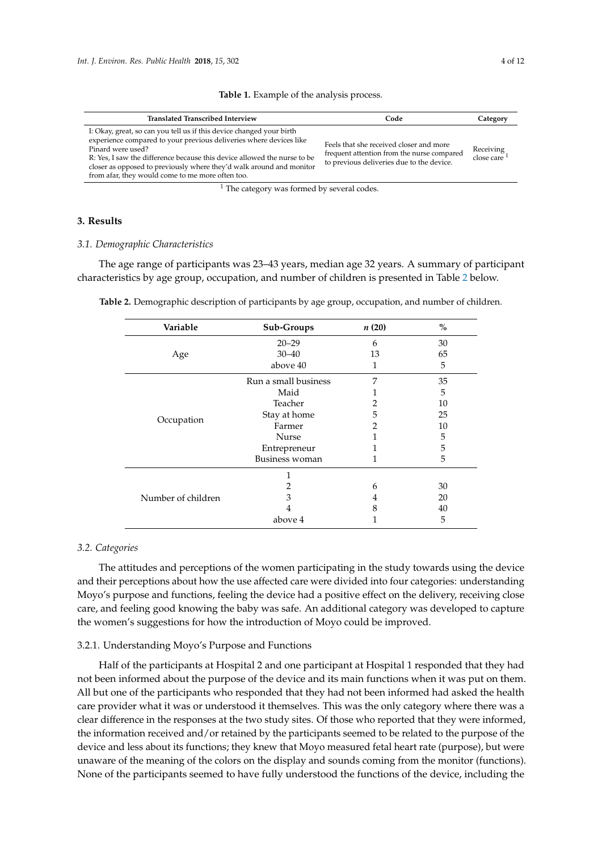<span id="page-3-0"></span>

| <b>Translated Transcribed Interview</b>                                                                                                                                                                                                                                                                                                                                 | Code                                                                                                                               | Category                             |
|-------------------------------------------------------------------------------------------------------------------------------------------------------------------------------------------------------------------------------------------------------------------------------------------------------------------------------------------------------------------------|------------------------------------------------------------------------------------------------------------------------------------|--------------------------------------|
| I: Okay, great, so can you tell us if this device changed your birth<br>experience compared to your previous deliveries where devices like<br>Pinard were used?<br>R: Yes, I saw the difference because this device allowed the nurse to be<br>closer as opposed to previously where they'd walk around and monitor<br>from afar, they would come to me more often too. | Feels that she received closer and more<br>frequent attention from the nurse compared<br>to previous deliveries due to the device. | Receiving<br>close care <sup>1</sup> |
| <b>CONTRACTOR</b><br>. .                                                                                                                                                                                                                                                                                                                                                |                                                                                                                                    |                                      |

# **Table 1.** Example of the analysis process.

<sup>1</sup> The category was formed by several codes.

# **3. Results**

# *3.1. Demographic Characteristics*

The age range of participants was 23–43 years, median age 32 years. A summary of participant characteristics by age group, occupation, and number of children is presented in Table [2](#page-3-1) below.

| Variable           | Sub-Groups           | n(20) | $\frac{0}{0}$ |
|--------------------|----------------------|-------|---------------|
| Age                | $20 - 29$            | 6     | 30            |
|                    | $30 - 40$            | 13    | 65            |
|                    | above 40             |       | 5             |
| Occupation         | Run a small business | 7     | 35            |
|                    | Maid                 |       | 5             |
|                    | Teacher              |       | 10            |
|                    | Stay at home         | 5     | 25            |
|                    | Farmer               |       | 10            |
|                    | Nurse                |       | 5             |
|                    | Entrepreneur         |       | 5             |
|                    | Business woman       |       | 5             |
| Number of children |                      |       |               |
|                    |                      | 6     | 30            |
|                    | 3                    | 4     | 20            |
|                    |                      | 8     | 40            |
|                    | above 4              |       | 5             |

<span id="page-3-1"></span>**Table 2.** Demographic description of participants by age group, occupation, and number of children.

## *3.2. Categories*

The attitudes and perceptions of the women participating in the study towards using the device and their perceptions about how the use affected care were divided into four categories: understanding Moyo's purpose and functions, feeling the device had a positive effect on the delivery, receiving close care, and feeling good knowing the baby was safe. An additional category was developed to capture the women's suggestions for how the introduction of Moyo could be improved.

# 3.2.1. Understanding Moyo's Purpose and Functions

Half of the participants at Hospital 2 and one participant at Hospital 1 responded that they had not been informed about the purpose of the device and its main functions when it was put on them. All but one of the participants who responded that they had not been informed had asked the health care provider what it was or understood it themselves. This was the only category where there was a clear difference in the responses at the two study sites. Of those who reported that they were informed, the information received and/or retained by the participants seemed to be related to the purpose of the device and less about its functions; they knew that Moyo measured fetal heart rate (purpose), but were unaware of the meaning of the colors on the display and sounds coming from the monitor (functions). None of the participants seemed to have fully understood the functions of the device, including the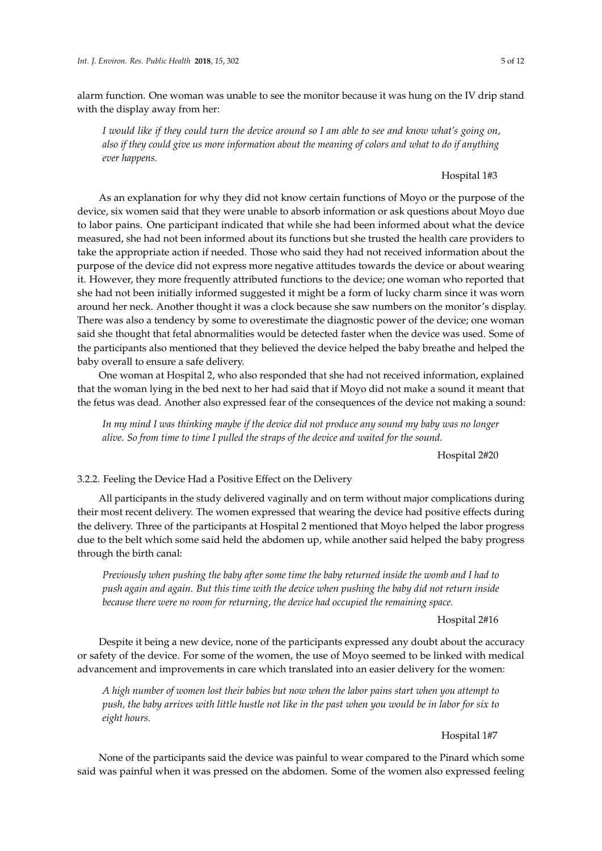alarm function. One woman was unable to see the monitor because it was hung on the IV drip stand with the display away from her:

*I would like if they could turn the device around so I am able to see and know what's going on, also if they could give us more information about the meaning of colors and what to do if anything ever happens.*

# Hospital 1#3

As an explanation for why they did not know certain functions of Moyo or the purpose of the device, six women said that they were unable to absorb information or ask questions about Moyo due to labor pains. One participant indicated that while she had been informed about what the device measured, she had not been informed about its functions but she trusted the health care providers to take the appropriate action if needed. Those who said they had not received information about the purpose of the device did not express more negative attitudes towards the device or about wearing it. However, they more frequently attributed functions to the device; one woman who reported that she had not been initially informed suggested it might be a form of lucky charm since it was worn around her neck. Another thought it was a clock because she saw numbers on the monitor's display. There was also a tendency by some to overestimate the diagnostic power of the device; one woman said she thought that fetal abnormalities would be detected faster when the device was used. Some of the participants also mentioned that they believed the device helped the baby breathe and helped the baby overall to ensure a safe delivery.

One woman at Hospital 2, who also responded that she had not received information, explained that the woman lying in the bed next to her had said that if Moyo did not make a sound it meant that the fetus was dead. Another also expressed fear of the consequences of the device not making a sound:

*In my mind I was thinking maybe if the device did not produce any sound my baby was no longer alive. So from time to time I pulled the straps of the device and waited for the sound.*

Hospital 2#20

3.2.2. Feeling the Device Had a Positive Effect on the Delivery

All participants in the study delivered vaginally and on term without major complications during their most recent delivery. The women expressed that wearing the device had positive effects during the delivery. Three of the participants at Hospital 2 mentioned that Moyo helped the labor progress due to the belt which some said held the abdomen up, while another said helped the baby progress through the birth canal:

*Previously when pushing the baby after some time the baby returned inside the womb and I had to push again and again. But this time with the device when pushing the baby did not return inside because there were no room for returning, the device had occupied the remaining space.*

Hospital 2#16

Despite it being a new device, none of the participants expressed any doubt about the accuracy or safety of the device. For some of the women, the use of Moyo seemed to be linked with medical advancement and improvements in care which translated into an easier delivery for the women:

*A high number of women lost their babies but now when the labor pains start when you attempt to push, the baby arrives with little hustle not like in the past when you would be in labor for six to eight hours.*

Hospital 1#7

None of the participants said the device was painful to wear compared to the Pinard which some said was painful when it was pressed on the abdomen. Some of the women also expressed feeling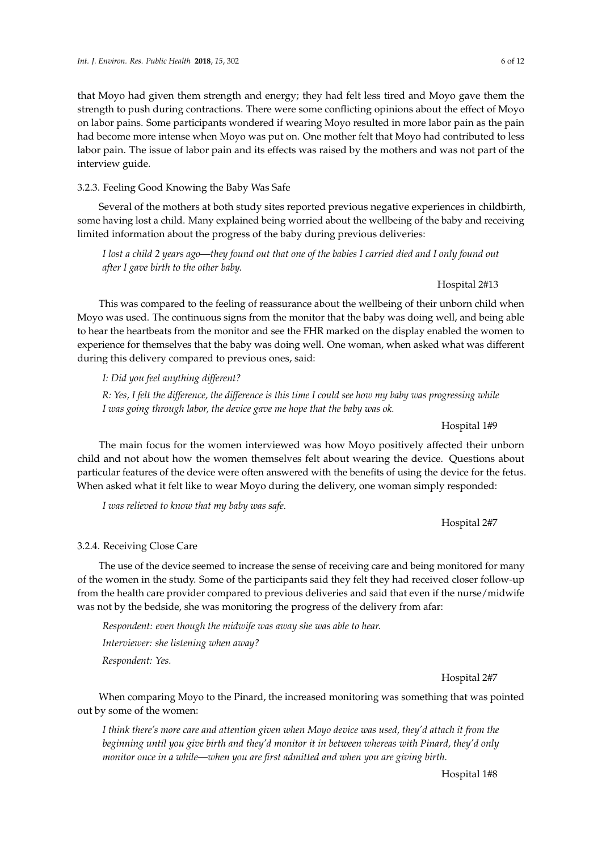Hospital 2#7

that Moyo had given them strength and energy; they had felt less tired and Moyo gave them the strength to push during contractions. There were some conflicting opinions about the effect of Moyo on labor pains. Some participants wondered if wearing Moyo resulted in more labor pain as the pain had become more intense when Moyo was put on. One mother felt that Moyo had contributed to less labor pain. The issue of labor pain and its effects was raised by the mothers and was not part of the interview guide.

# 3.2.3. Feeling Good Knowing the Baby Was Safe

Several of the mothers at both study sites reported previous negative experiences in childbirth, some having lost a child. Many explained being worried about the wellbeing of the baby and receiving limited information about the progress of the baby during previous deliveries:

*I lost a child 2 years ago—they found out that one of the babies I carried died and I only found out after I gave birth to the other baby.*

## Hospital 2#13

This was compared to the feeling of reassurance about the wellbeing of their unborn child when Moyo was used. The continuous signs from the monitor that the baby was doing well, and being able to hear the heartbeats from the monitor and see the FHR marked on the display enabled the women to experience for themselves that the baby was doing well. One woman, when asked what was different during this delivery compared to previous ones, said:

*I: Did you feel anything different?*

*R: Yes, I felt the difference, the difference is this time I could see how my baby was progressing while I was going through labor, the device gave me hope that the baby was ok.*

#### Hospital 1#9

The main focus for the women interviewed was how Moyo positively affected their unborn child and not about how the women themselves felt about wearing the device. Questions about particular features of the device were often answered with the benefits of using the device for the fetus. When asked what it felt like to wear Moyo during the delivery, one woman simply responded:

*I was relieved to know that my baby was safe.*

Hospital 2#7

# 3.2.4. Receiving Close Care

The use of the device seemed to increase the sense of receiving care and being monitored for many of the women in the study. Some of the participants said they felt they had received closer follow-up from the health care provider compared to previous deliveries and said that even if the nurse/midwife was not by the bedside, she was monitoring the progress of the delivery from afar:

*Respondent: even though the midwife was away she was able to hear. Interviewer: she listening when away? Respondent: Yes.*

When comparing Moyo to the Pinard, the increased monitoring was something that was pointed out by some of the women:

*I think there's more care and attention given when Moyo device was used, they'd attach it from the beginning until you give birth and they'd monitor it in between whereas with Pinard, they'd only monitor once in a while—when you are first admitted and when you are giving birth.*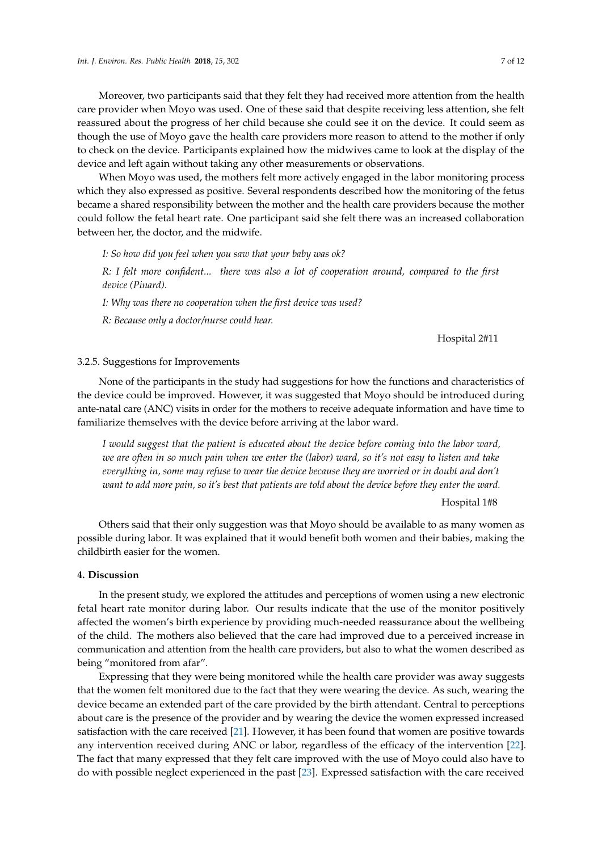Moreover, two participants said that they felt they had received more attention from the health care provider when Moyo was used. One of these said that despite receiving less attention, she felt reassured about the progress of her child because she could see it on the device. It could seem as though the use of Moyo gave the health care providers more reason to attend to the mother if only to check on the device. Participants explained how the midwives came to look at the display of the device and left again without taking any other measurements or observations.

When Moyo was used, the mothers felt more actively engaged in the labor monitoring process which they also expressed as positive. Several respondents described how the monitoring of the fetus became a shared responsibility between the mother and the health care providers because the mother could follow the fetal heart rate. One participant said she felt there was an increased collaboration between her, the doctor, and the midwife.

*I: So how did you feel when you saw that your baby was ok?*

*R: I felt more confident... there was also a lot of cooperation around, compared to the first device (Pinard).*

*I: Why was there no cooperation when the first device was used?*

*R: Because only a doctor/nurse could hear.*

Hospital 2#11

# 3.2.5. Suggestions for Improvements

None of the participants in the study had suggestions for how the functions and characteristics of the device could be improved. However, it was suggested that Moyo should be introduced during ante-natal care (ANC) visits in order for the mothers to receive adequate information and have time to familiarize themselves with the device before arriving at the labor ward.

*I would suggest that the patient is educated about the device before coming into the labor ward, we are often in so much pain when we enter the (labor) ward, so it's not easy to listen and take everything in, some may refuse to wear the device because they are worried or in doubt and don't want to add more pain, so it's best that patients are told about the device before they enter the ward.*

Hospital 1#8

Others said that their only suggestion was that Moyo should be available to as many women as possible during labor. It was explained that it would benefit both women and their babies, making the childbirth easier for the women.

# **4. Discussion**

In the present study, we explored the attitudes and perceptions of women using a new electronic fetal heart rate monitor during labor. Our results indicate that the use of the monitor positively affected the women's birth experience by providing much-needed reassurance about the wellbeing of the child. The mothers also believed that the care had improved due to a perceived increase in communication and attention from the health care providers, but also to what the women described as being "monitored from afar".

Expressing that they were being monitored while the health care provider was away suggests that the women felt monitored due to the fact that they were wearing the device. As such, wearing the device became an extended part of the care provided by the birth attendant. Central to perceptions about care is the presence of the provider and by wearing the device the women expressed increased satisfaction with the care received [\[21\]](#page-10-16). However, it has been found that women are positive towards any intervention received during ANC or labor, regardless of the efficacy of the intervention [\[22\]](#page-10-17). The fact that many expressed that they felt care improved with the use of Moyo could also have to do with possible neglect experienced in the past [\[23\]](#page-10-18). Expressed satisfaction with the care received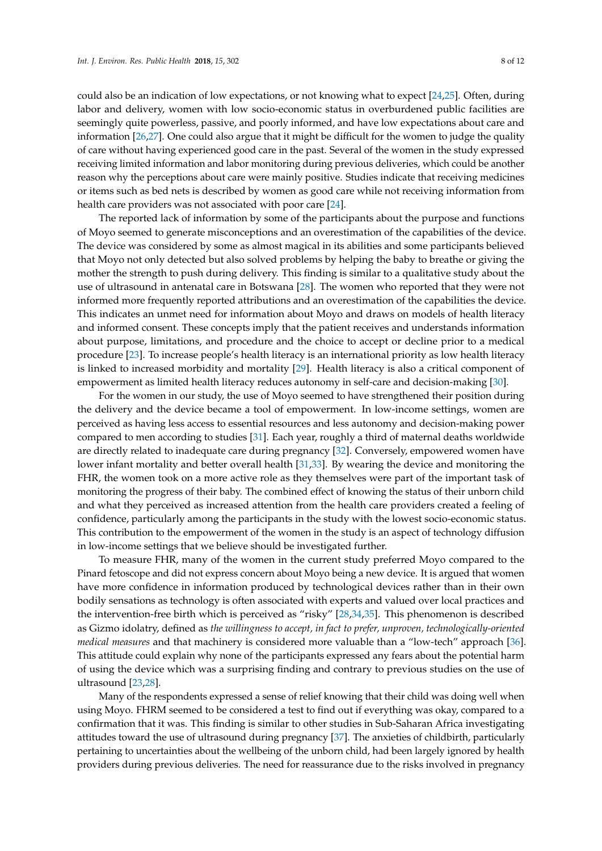could also be an indication of low expectations, or not knowing what to expect [\[24](#page-10-19)[,25\]](#page-10-20). Often, during labor and delivery, women with low socio-economic status in overburdened public facilities are seemingly quite powerless, passive, and poorly informed, and have low expectations about care and information [\[26](#page-10-21)[,27\]](#page-11-0). One could also argue that it might be difficult for the women to judge the quality of care without having experienced good care in the past. Several of the women in the study expressed receiving limited information and labor monitoring during previous deliveries, which could be another reason why the perceptions about care were mainly positive. Studies indicate that receiving medicines or items such as bed nets is described by women as good care while not receiving information from health care providers was not associated with poor care [\[24\]](#page-10-19).

The reported lack of information by some of the participants about the purpose and functions of Moyo seemed to generate misconceptions and an overestimation of the capabilities of the device. The device was considered by some as almost magical in its abilities and some participants believed that Moyo not only detected but also solved problems by helping the baby to breathe or giving the mother the strength to push during delivery. This finding is similar to a qualitative study about the use of ultrasound in antenatal care in Botswana [\[28\]](#page-11-1). The women who reported that they were not informed more frequently reported attributions and an overestimation of the capabilities the device. This indicates an unmet need for information about Moyo and draws on models of health literacy and informed consent. These concepts imply that the patient receives and understands information about purpose, limitations, and procedure and the choice to accept or decline prior to a medical procedure [\[23\]](#page-10-18). To increase people's health literacy is an international priority as low health literacy is linked to increased morbidity and mortality [\[29\]](#page-11-2). Health literacy is also a critical component of empowerment as limited health literacy reduces autonomy in self-care and decision-making [\[30\]](#page-11-3).

For the women in our study, the use of Moyo seemed to have strengthened their position during the delivery and the device became a tool of empowerment. In low-income settings, women are perceived as having less access to essential resources and less autonomy and decision-making power compared to men according to studies [\[31\]](#page-11-4). Each year, roughly a third of maternal deaths worldwide are directly related to inadequate care during pregnancy [\[32\]](#page-11-5). Conversely, empowered women have lower infant mortality and better overall health [\[31](#page-11-4)[,33\]](#page-11-6). By wearing the device and monitoring the FHR, the women took on a more active role as they themselves were part of the important task of monitoring the progress of their baby. The combined effect of knowing the status of their unborn child and what they perceived as increased attention from the health care providers created a feeling of confidence, particularly among the participants in the study with the lowest socio-economic status. This contribution to the empowerment of the women in the study is an aspect of technology diffusion in low-income settings that we believe should be investigated further.

To measure FHR, many of the women in the current study preferred Moyo compared to the Pinard fetoscope and did not express concern about Moyo being a new device. It is argued that women have more confidence in information produced by technological devices rather than in their own bodily sensations as technology is often associated with experts and valued over local practices and the intervention-free birth which is perceived as "risky" [\[28](#page-11-1)[,34](#page-11-7)[,35\]](#page-11-8). This phenomenon is described as Gizmo idolatry, defined as *the willingness to accept, in fact to prefer, unproven, technologically-oriented medical measures* and that machinery is considered more valuable than a "low-tech" approach [\[36\]](#page-11-9). This attitude could explain why none of the participants expressed any fears about the potential harm of using the device which was a surprising finding and contrary to previous studies on the use of ultrasound [\[23](#page-10-18)[,28\]](#page-11-1).

Many of the respondents expressed a sense of relief knowing that their child was doing well when using Moyo. FHRM seemed to be considered a test to find out if everything was okay, compared to a confirmation that it was. This finding is similar to other studies in Sub-Saharan Africa investigating attitudes toward the use of ultrasound during pregnancy [\[37\]](#page-11-10). The anxieties of childbirth, particularly pertaining to uncertainties about the wellbeing of the unborn child, had been largely ignored by health providers during previous deliveries. The need for reassurance due to the risks involved in pregnancy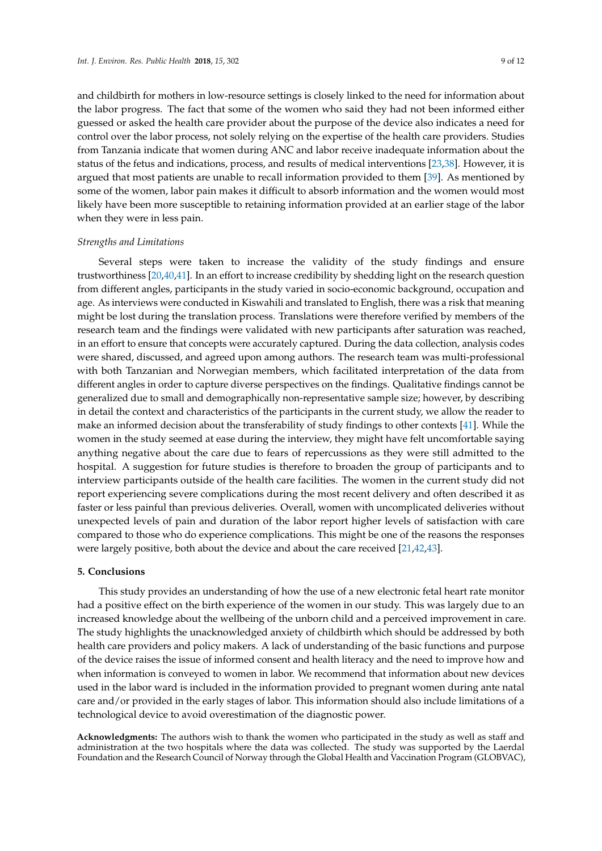and childbirth for mothers in low-resource settings is closely linked to the need for information about the labor progress. The fact that some of the women who said they had not been informed either guessed or asked the health care provider about the purpose of the device also indicates a need for control over the labor process, not solely relying on the expertise of the health care providers. Studies from Tanzania indicate that women during ANC and labor receive inadequate information about the status of the fetus and indications, process, and results of medical interventions [\[23,](#page-10-18)[38\]](#page-11-11). However, it is argued that most patients are unable to recall information provided to them [\[39\]](#page-11-12). As mentioned by some of the women, labor pain makes it difficult to absorb information and the women would most likely have been more susceptible to retaining information provided at an earlier stage of the labor when they were in less pain.

## *Strengths and Limitations*

Several steps were taken to increase the validity of the study findings and ensure trustworthiness [\[20](#page-10-15)[,40,](#page-11-13)[41\]](#page-11-14). In an effort to increase credibility by shedding light on the research question from different angles, participants in the study varied in socio-economic background, occupation and age. As interviews were conducted in Kiswahili and translated to English, there was a risk that meaning might be lost during the translation process. Translations were therefore verified by members of the research team and the findings were validated with new participants after saturation was reached, in an effort to ensure that concepts were accurately captured. During the data collection, analysis codes were shared, discussed, and agreed upon among authors. The research team was multi-professional with both Tanzanian and Norwegian members, which facilitated interpretation of the data from different angles in order to capture diverse perspectives on the findings. Qualitative findings cannot be generalized due to small and demographically non-representative sample size; however, by describing in detail the context and characteristics of the participants in the current study, we allow the reader to make an informed decision about the transferability of study findings to other contexts [\[41\]](#page-11-14). While the women in the study seemed at ease during the interview, they might have felt uncomfortable saying anything negative about the care due to fears of repercussions as they were still admitted to the hospital. A suggestion for future studies is therefore to broaden the group of participants and to interview participants outside of the health care facilities. The women in the current study did not report experiencing severe complications during the most recent delivery and often described it as faster or less painful than previous deliveries. Overall, women with uncomplicated deliveries without unexpected levels of pain and duration of the labor report higher levels of satisfaction with care compared to those who do experience complications. This might be one of the reasons the responses were largely positive, both about the device and about the care received [\[21](#page-10-16)[,42](#page-11-15)[,43\]](#page-11-16).

#### **5. Conclusions**

This study provides an understanding of how the use of a new electronic fetal heart rate monitor had a positive effect on the birth experience of the women in our study. This was largely due to an increased knowledge about the wellbeing of the unborn child and a perceived improvement in care. The study highlights the unacknowledged anxiety of childbirth which should be addressed by both health care providers and policy makers. A lack of understanding of the basic functions and purpose of the device raises the issue of informed consent and health literacy and the need to improve how and when information is conveyed to women in labor. We recommend that information about new devices used in the labor ward is included in the information provided to pregnant women during ante natal care and/or provided in the early stages of labor. This information should also include limitations of a technological device to avoid overestimation of the diagnostic power.

**Acknowledgments:** The authors wish to thank the women who participated in the study as well as staff and administration at the two hospitals where the data was collected. The study was supported by the Laerdal Foundation and the Research Council of Norway through the Global Health and Vaccination Program (GLOBVAC),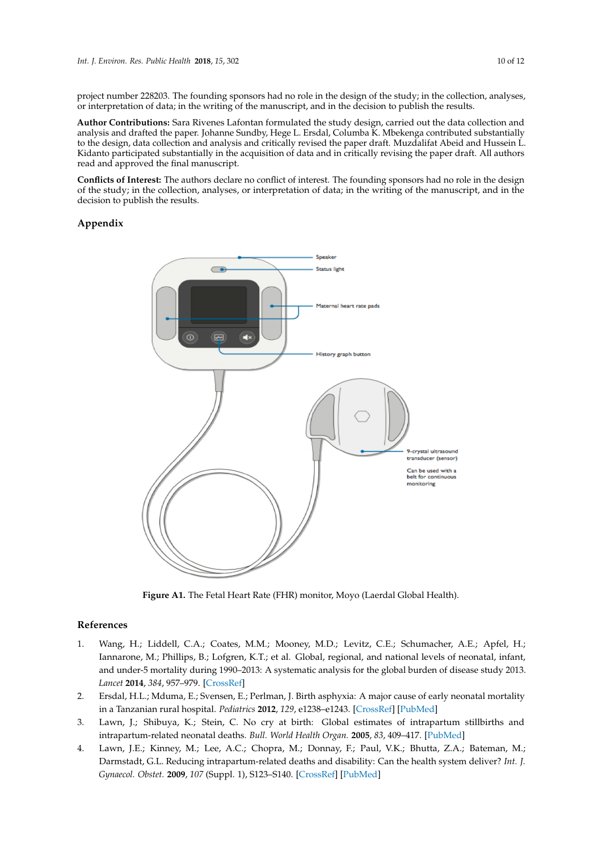project number 228203. The founding sponsors had no role in the design of the study; in the collection, analyses, or interpretation of data; in the writing of the manuscript, and in the decision to publish the results.

**Author Contributions:** Sara Rivenes Lafontan formulated the study design, carried out the data collection and analysis and drafted the paper. Johanne Sundby, Hege L. Ersdal, Columba K. Mbekenga contributed substantially to the design, data collection and analysis and critically revised the paper draft. Muzdalifat Abeid and Hussein L. Kidanto participated substantially in the acquisition of data and in critically revising the paper draft. All authors read and approved the final manuscript.

**Conflicts of Interest:** The authors declare no conflict of interest. The founding sponsors had no role in the design of the study; in the collection, analyses, or interpretation of data; in the writing of the manuscript, and in the decision to publish the results.

# <span id="page-9-2"></span>**Appendix Appendix A**



**Figure A1.** The Fetal Heart Rate (FHR) monitor, Moyo (Laerdal Global Health). **Figure A1.** The Fetal Heart Rate (FHR) monitor, Moyo (Laerdal Global Health).

# **References References**

- <span id="page-9-0"></span>1. Wang, H.; Liddell, C.A.; Coates, M.M.; Mooney, M.D.; Levitz, C.E.; Schumacher, A.E.; Apfel, H.; Iannarone, M.; Phillips, B.; Lofgren, K.T.; et al. Global, regional, and national levels of neonatal, infant, and under-5 mortality during 1990–2013: A systematic analysis for the global burden of disease study 2013. *384*, 957–979. *Lancet* **2014**, *384*, 957–979. [\[CrossRef\]](http://dx.doi.org/10.1016/S0140-6736(14)60497-9)
- <span id="page-9-1"></span>2. Ersdal, H.L.; Mduma, E.; Svensen, E.; Perlman, J. Birth asphyxia: A major cause of early neonatal mortality 2. Ersdal, H.L.; Mduma, E.; Svensen, E.; Perlman, J. Birth asphyxia: A major cause of early neonatal mortality in a Tanzanian rural hospital. *Pediatrics* **2012**, *129*, e1238–e1243. in a Tanzanian rural hospital. *Pediatrics* **2012**, *129*, e1238–e1243. [\[CrossRef\]](http://dx.doi.org/10.1542/peds.2011-3134) [\[PubMed\]](http://www.ncbi.nlm.nih.gov/pubmed/22508912)
- 3. Lawn, J.; Shibuya, K.; Stein, C. No cry at birth: Global estimates of intrapartum stillbirths and related neonatal deaths. *Bull. World Health Organ.* **2005**, *83*, 409–417. intrapartum-related neonatal deaths. *Bull. World Health Organ.* **2005**, *83*, 409–417. [\[PubMed\]](http://www.ncbi.nlm.nih.gov/pubmed/15976891)
- 4. Lawn, J.E.; Kinney, M.; Lee, A.C.; Chopra, M.; Donnay, F.; Paul, V.K.; Bhutta, Z.A.; Bateman, M.; Darmstadt, G.L. Reducing intrapartum-related deaths and disability: Can the health system deliver? Int. J. *Obstet.* **2009**, *107* (Suppl. 1), S123–S140. *Gynaecol. Obstet.* **2009**, *107* (Suppl. 1), S123–S140. [\[CrossRef\]](http://dx.doi.org/10.1016/j.ijgo.2009.07.021) [\[PubMed\]](http://www.ncbi.nlm.nih.gov/pubmed/19815205)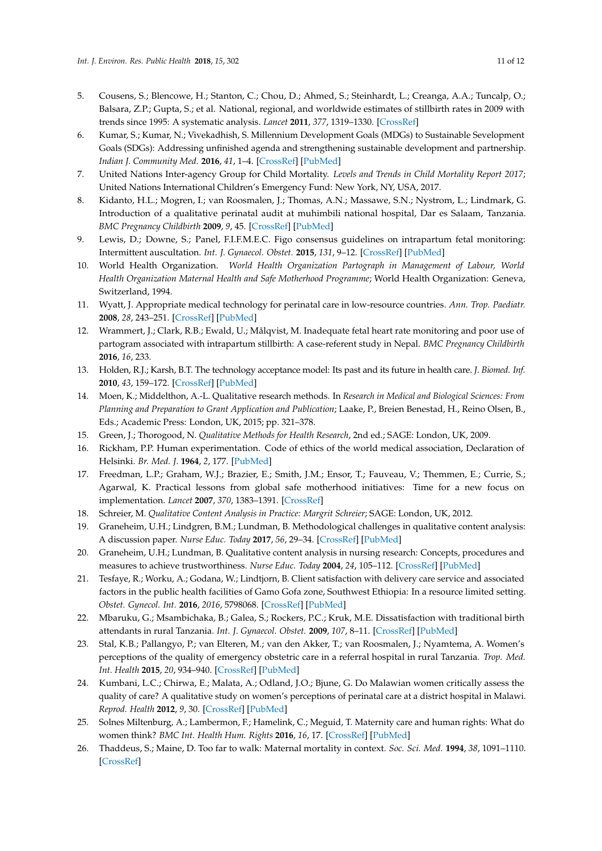- <span id="page-10-0"></span>5. Cousens, S.; Blencowe, H.; Stanton, C.; Chou, D.; Ahmed, S.; Steinhardt, L.; Creanga, A.A.; Tuncalp, O.; Balsara, Z.P.; Gupta, S.; et al. National, regional, and worldwide estimates of stillbirth rates in 2009 with trends since 1995: A systematic analysis. *Lancet* **2011**, *377*, 1319–1330. [\[CrossRef\]](http://dx.doi.org/10.1016/S0140-6736(10)62310-0)
- <span id="page-10-1"></span>6. Kumar, S.; Kumar, N.; Vivekadhish, S. Millennium Development Goals (MDGs) to Sustainable Sevelopment Goals (SDGs): Addressing unfinished agenda and strengthening sustainable development and partnership. *Indian J. Community Med.* **2016**, *41*, 1–4. [\[CrossRef\]](http://dx.doi.org/10.4103/0970-0218.170955) [\[PubMed\]](http://www.ncbi.nlm.nih.gov/pubmed/26917865)
- <span id="page-10-2"></span>7. United Nations Inter-agency Group for Child Mortality. *Levels and Trends in Child Mortality Report 2017*; United Nations International Children's Emergency Fund: New York, NY, USA, 2017.
- <span id="page-10-3"></span>8. Kidanto, H.L.; Mogren, I.; van Roosmalen, J.; Thomas, A.N.; Massawe, S.N.; Nystrom, L.; Lindmark, G. Introduction of a qualitative perinatal audit at muhimbili national hospital, Dar es Salaam, Tanzania. *BMC Pregnancy Childbirth* **2009**, *9*, 45. [\[CrossRef\]](http://dx.doi.org/10.1186/1471-2393-9-45) [\[PubMed\]](http://www.ncbi.nlm.nih.gov/pubmed/19765312)
- <span id="page-10-4"></span>9. Lewis, D.; Downe, S.; Panel, F.I.F.M.E.C. Figo consensus guidelines on intrapartum fetal monitoring: Intermittent auscultation. *Int. J. Gynaecol. Obstet.* **2015**, *131*, 9–12. [\[CrossRef\]](http://dx.doi.org/10.1016/j.ijgo.2015.06.019) [\[PubMed\]](http://www.ncbi.nlm.nih.gov/pubmed/26433400)
- <span id="page-10-5"></span>10. World Health Organization. *World Health Organization Partograph in Management of Labour, World Health Organization Maternal Health and Safe Motherhood Programme*; World Health Organization: Geneva, Switzerland, 1994.
- <span id="page-10-6"></span>11. Wyatt, J. Appropriate medical technology for perinatal care in low-resource countries. *Ann. Trop. Paediatr.* **2008**, *28*, 243–251. [\[CrossRef\]](http://dx.doi.org/10.1179/146532808X375396) [\[PubMed\]](http://www.ncbi.nlm.nih.gov/pubmed/19021939)
- <span id="page-10-7"></span>12. Wrammert, J.; Clark, R.B.; Ewald, U.; Målqvist, M. Inadequate fetal heart rate monitoring and poor use of partogram associated with intrapartum stillbirth: A case-referent study in Nepal. *BMC Pregnancy Childbirth* **2016**, *16*, 233.
- <span id="page-10-8"></span>13. Holden, R.J.; Karsh, B.T. The technology acceptance model: Its past and its future in health care. *J. Biomed. Inf.* **2010**, *43*, 159–172. [\[CrossRef\]](http://dx.doi.org/10.1016/j.jbi.2009.07.002) [\[PubMed\]](http://www.ncbi.nlm.nih.gov/pubmed/19615467)
- <span id="page-10-9"></span>14. Moen, K.; Middelthon, A.-L. Qualitative research methods. In *Research in Medical and Biological Sciences: From Planning and Preparation to Grant Application and Publication*; Laake, P., Breien Benestad, H., Reino Olsen, B., Eds.; Academic Press: London, UK, 2015; pp. 321–378.
- <span id="page-10-10"></span>15. Green, J.; Thorogood, N. *Qualitative Methods for Health Research*, 2nd ed.; SAGE: London, UK, 2009.
- <span id="page-10-11"></span>16. Rickham, P.P. Human experimentation. Code of ethics of the world medical association, Declaration of Helsinki. *Br. Med. J.* **1964**, *2*, 177. [\[PubMed\]](http://www.ncbi.nlm.nih.gov/pubmed/14150898)
- <span id="page-10-12"></span>17. Freedman, L.P.; Graham, W.J.; Brazier, E.; Smith, J.M.; Ensor, T.; Fauveau, V.; Themmen, E.; Currie, S.; Agarwal, K. Practical lessons from global safe motherhood initiatives: Time for a new focus on implementation. *Lancet* **2007**, *370*, 1383–1391. [\[CrossRef\]](http://dx.doi.org/10.1016/S0140-6736(07)61581-5)
- <span id="page-10-13"></span>18. Schreier, M. *Qualitative Content Analysis in Practice: Margrit Schreier*; SAGE: London, UK, 2012.
- <span id="page-10-14"></span>19. Graneheim, U.H.; Lindgren, B.M.; Lundman, B. Methodological challenges in qualitative content analysis: A discussion paper. *Nurse Educ. Today* **2017**, *56*, 29–34. [\[CrossRef\]](http://dx.doi.org/10.1016/j.nedt.2017.06.002) [\[PubMed\]](http://www.ncbi.nlm.nih.gov/pubmed/28651100)
- <span id="page-10-15"></span>20. Graneheim, U.H.; Lundman, B. Qualitative content analysis in nursing research: Concepts, procedures and measures to achieve trustworthiness. *Nurse Educ. Today* **2004**, *24*, 105–112. [\[CrossRef\]](http://dx.doi.org/10.1016/j.nedt.2003.10.001) [\[PubMed\]](http://www.ncbi.nlm.nih.gov/pubmed/14769454)
- <span id="page-10-16"></span>21. Tesfaye, R.; Worku, A.; Godana, W.; Lindtjorn, B. Client satisfaction with delivery care service and associated factors in the public health facilities of Gamo Gofa zone, Southwest Ethiopia: In a resource limited setting. *Obstet. Gynecol. Int.* **2016**, *2016*, 5798068. [\[CrossRef\]](http://dx.doi.org/10.1155/2016/5798068) [\[PubMed\]](http://www.ncbi.nlm.nih.gov/pubmed/27413377)
- <span id="page-10-17"></span>22. Mbaruku, G.; Msambichaka, B.; Galea, S.; Rockers, P.C.; Kruk, M.E. Dissatisfaction with traditional birth attendants in rural Tanzania. *Int. J. Gynaecol. Obstet.* **2009**, *107*, 8–11. [\[CrossRef\]](http://dx.doi.org/10.1016/j.ijgo.2009.05.008) [\[PubMed\]](http://www.ncbi.nlm.nih.gov/pubmed/19577750)
- <span id="page-10-18"></span>23. Stal, K.B.; Pallangyo, P.; van Elteren, M.; van den Akker, T.; van Roosmalen, J.; Nyamtema, A. Women's perceptions of the quality of emergency obstetric care in a referral hospital in rural Tanzania. *Trop. Med. Int. Health* **2015**, *20*, 934–940. [\[CrossRef\]](http://dx.doi.org/10.1111/tmi.12496) [\[PubMed\]](http://www.ncbi.nlm.nih.gov/pubmed/25726853)
- <span id="page-10-19"></span>24. Kumbani, L.C.; Chirwa, E.; Malata, A.; Odland, J.O.; Bjune, G. Do Malawian women critically assess the quality of care? A qualitative study on women's perceptions of perinatal care at a district hospital in Malawi. *Reprod. Health* **2012**, *9*, 30. [\[CrossRef\]](http://dx.doi.org/10.1186/1742-4755-9-30) [\[PubMed\]](http://www.ncbi.nlm.nih.gov/pubmed/23158672)
- <span id="page-10-20"></span>25. Solnes Miltenburg, A.; Lambermon, F.; Hamelink, C.; Meguid, T. Maternity care and human rights: What do women think? *BMC Int. Health Hum. Rights* **2016**, *16*, 17. [\[CrossRef\]](http://dx.doi.org/10.1186/s12914-016-0091-1) [\[PubMed\]](http://www.ncbi.nlm.nih.gov/pubmed/27368988)
- <span id="page-10-21"></span>26. Thaddeus, S.; Maine, D. Too far to walk: Maternal mortality in context. *Soc. Sci. Med.* **1994**, *38*, 1091–1110. [\[CrossRef\]](http://dx.doi.org/10.1016/0277-9536(94)90226-7)